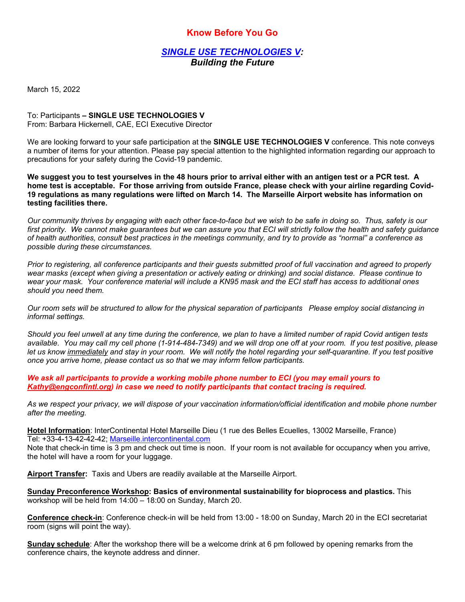## **Know Before You Go**

*SINGLE USE TECHNOLOGIES V: Building the Future* 

March 15, 2022

To: Participants **– SINGLE USE TECHNOLOGIES V** From: Barbara Hickernell, CAE, ECI Executive Director

We are looking forward to your safe participation at the **SINGLE USE TECHNOLOGIES V** conference. This note conveys a number of items for your attention. Please pay special attention to the highlighted information regarding our approach to precautions for your safety during the Covid-19 pandemic.

**We suggest you to test yourselves in the 48 hours prior to arrival either with an antigen test or a PCR test. A home test is acceptable. For those arriving from outside France, please check with your airline regarding Covid-19 regulations as many regulations were lifted on March 14. The Marseille Airport website has information on testing facilities there.** 

*Our community thrives by engaging with each other face-to-face but we wish to be safe in doing so. Thus, safety is our first priority. We cannot make guarantees but we can assure you that ECI will strictly follow the health and safety guidance of health authorities, consult best practices in the meetings community, and try to provide as "normal" a conference as possible during these circumstances.* 

*Prior to registering, all conference participants and their guests submitted proof of full vaccination and agreed to properly wear masks (except when giving a presentation or actively eating or drinking) and social distance. Please continue to wear your mask. Your conference material will include a KN95 mask and the ECI staff has access to additional ones should you need them.* 

*Our room sets will be structured to allow for the physical separation of participants Please employ social distancing in informal settings.* 

*Should you feel unwell at any time during the conference, we plan to have a limited number of rapid Covid antigen tests available. You may call my cell phone (1-914-484-7349) and we will drop one off at your room. If you test positive, please let us know immediately and stay in your room. We will notify the hotel regarding your self-quarantine. If you test positive once you arrive home, please contact us so that we may inform fellow participants.* 

*We ask all participants to provide a working mobile phone number to ECI (you may email yours to Kathy@engconfintl.org) in case we need to notify participants that contact tracing is required.* 

*As we respect your privacy, we will dispose of your vaccination information/official identification and mobile phone number after the meeting.* 

**Hotel Information**: InterContinental Hotel Marseille Dieu (1 rue des Belles Ecuelles, 13002 Marseille, France) Tel: +33-4-13-42-42-42; Marseille.intercontinental.com

Note that check-in time is 3 pm and check out time is noon. If your room is not available for occupancy when you arrive, the hotel will have a room for your luggage.

**Airport Transfer:** Taxis and Ubers are readily available at the Marseille Airport.

**Sunday Preconference Workshop: Basics of environmental sustainability for bioprocess and plastics.** This workshop will be held from 14:00 – 18:00 on Sunday, March 20.

**Conference check-in**: Conference check-in will be held from 13:00 - 18:00 on Sunday, March 20 in the ECI secretariat room (signs will point the way).

**Sunday schedule**: After the workshop there will be a welcome drink at 6 pm followed by opening remarks from the conference chairs, the keynote address and dinner.